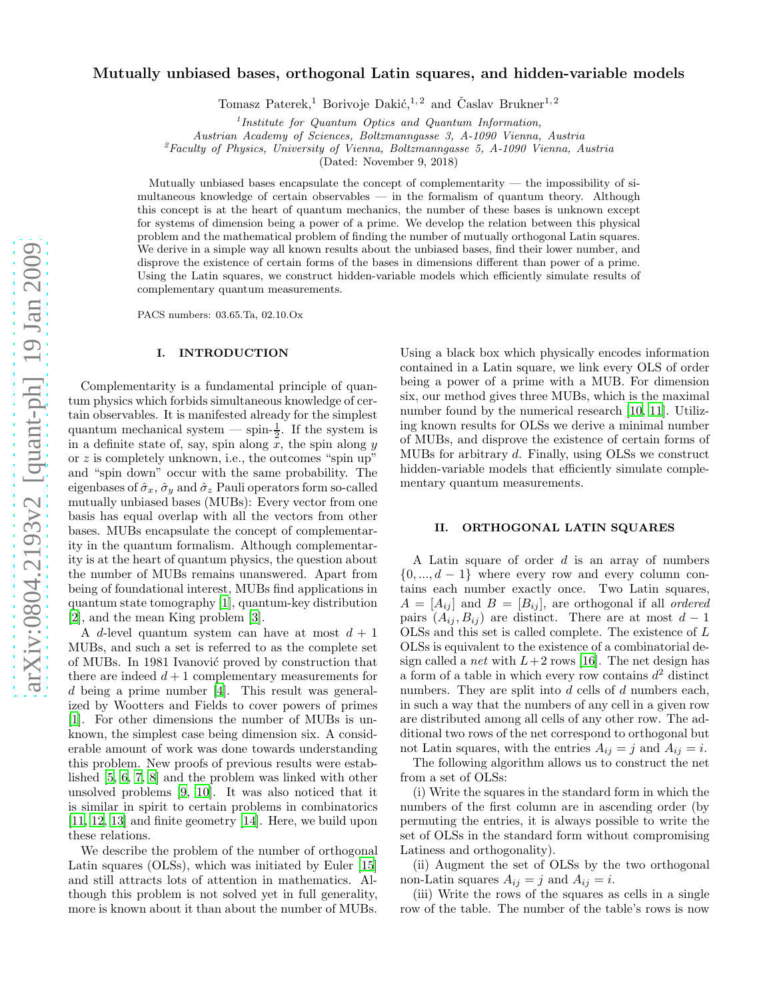# Mutually unbiased bases, orthogonal Latin squares, and hidden-variable models

Tomasz Paterek,<sup>1</sup> Borivoje Dakić,<sup>1, 2</sup> and Časlav Brukner<sup>1, 2</sup>

<sup>1</sup>Institute for Quantum Optics and Quantum Information,

Austrian Academy of Sciences, Boltzmanngasse 3, A-1090 Vienna, Austria

 ${}^{2}$ Faculty of Physics, University of Vienna, Boltzmanngasse 5, A-1090 Vienna, Austria

(Dated: November 9, 2018)

Mutually unbiased bases encapsulate the concept of complementarity — the impossibility of simultaneous knowledge of certain observables — in the formalism of quantum theory. Although this concept is at the heart of quantum mechanics, the number of these bases is unknown except for systems of dimension being a power of a prime. We develop the relation between this physical problem and the mathematical problem of finding the number of mutually orthogonal Latin squares. We derive in a simple way all known results about the unbiased bases, find their lower number, and disprove the existence of certain forms of the bases in dimensions different than power of a prime. Using the Latin squares, we construct hidden-variable models which efficiently simulate results of complementary quantum measurements.

PACS numbers: 03.65.Ta, 02.10.Ox

## I. INTRODUCTION

Complementarity is a fundamental principle of quantum physics which forbids simultaneous knowledge of certain observables. It is manifested already for the simplest quantum mechanical system — spin- $\frac{1}{2}$ . If the system is in a definite state of, say, spin along  $\overline{x}$ , the spin along y or  $z$  is completely unknown, i.e., the outcomes "spin up" and "spin down" occur with the same probability. The eigenbases of  $\hat{\sigma}_x$ ,  $\hat{\sigma}_y$  and  $\hat{\sigma}_z$  Pauli operators form so-called mutually unbiased bases (MUBs): Every vector from one basis has equal overlap with all the vectors from other bases. MUBs encapsulate the concept of complementarity in the quantum formalism. Although complementarity is at the heart of quantum physics, the question about the number of MUBs remains unanswered. Apart from being of foundational interest, MUBs find applications in quantum state tomography [\[1\]](#page-5-0), quantum-key distribution [\[2\]](#page-5-1), and the mean King problem [\[3\]](#page-5-2).

A d-level quantum system can have at most  $d + 1$ MUBs, and such a set is referred to as the complete set of MUBs. In 1981 Ivanović proved by construction that there are indeed  $d+1$  complementary measurements for d being a prime number [\[4\]](#page-5-3). This result was generalized by Wootters and Fields to cover powers of primes [\[1\]](#page-5-0). For other dimensions the number of MUBs is unknown, the simplest case being dimension six. A considerable amount of work was done towards understanding this problem. New proofs of previous results were established [\[5](#page-5-4), [6](#page-5-5), [7](#page-5-6), [8](#page-5-7)] and the problem was linked with other unsolved problems [\[9](#page-5-8), [10\]](#page-5-9). It was also noticed that it is similar in spirit to certain problems in combinatorics [\[11,](#page-5-10) [12](#page-5-11), [13\]](#page-5-12) and finite geometry [\[14\]](#page-5-13). Here, we build upon these relations.

We describe the problem of the number of orthogonal Latin squares (OLSs), which was initiated by Euler [\[15](#page-5-14)] and still attracts lots of attention in mathematics. Although this problem is not solved yet in full generality, more is known about it than about the number of MUBs.

Using a black box which physically encodes information contained in a Latin square, we link every OLS of order being a power of a prime with a MUB. For dimension six, our method gives three MUBs, which is the maximal number found by the numerical research [\[10,](#page-5-9) [11\]](#page-5-10). Utilizing known results for OLSs we derive a minimal number of MUBs, and disprove the existence of certain forms of MUBs for arbitrary d. Finally, using OLSs we construct hidden-variable models that efficiently simulate complementary quantum measurements.

### II. ORTHOGONAL LATIN SQUARES

A Latin square of order  $d$  is an array of numbers  $\{0, ..., d-1\}$  where every row and every column contains each number exactly once. Two Latin squares,  $A = [A_{ij}]$  and  $B = [B_{ij}]$ , are orthogonal if all ordered pairs  $(A_{ij}, B_{ij})$  are distinct. There are at most  $d-1$ OLSs and this set is called complete. The existence of L OLSs is equivalent to the existence of a combinatorial design called a *net* with  $L+2$  rows [\[16](#page-5-15)]. The net design has a form of a table in which every row contains  $d^2$  distinct numbers. They are split into d cells of d numbers each, in such a way that the numbers of any cell in a given row are distributed among all cells of any other row. The additional two rows of the net correspond to orthogonal but not Latin squares, with the entries  $A_{ij} = j$  and  $A_{ij} = i$ .

The following algorithm allows us to construct the net from a set of OLSs:

(i) Write the squares in the standard form in which the numbers of the first column are in ascending order (by permuting the entries, it is always possible to write the set of OLSs in the standard form without compromising Latiness and orthogonality).

(ii) Augment the set of OLSs by the two orthogonal non-Latin squares  $A_{ij} = j$  and  $A_{ij} = i$ .

(iii) Write the rows of the squares as cells in a single row of the table. The number of the table's rows is now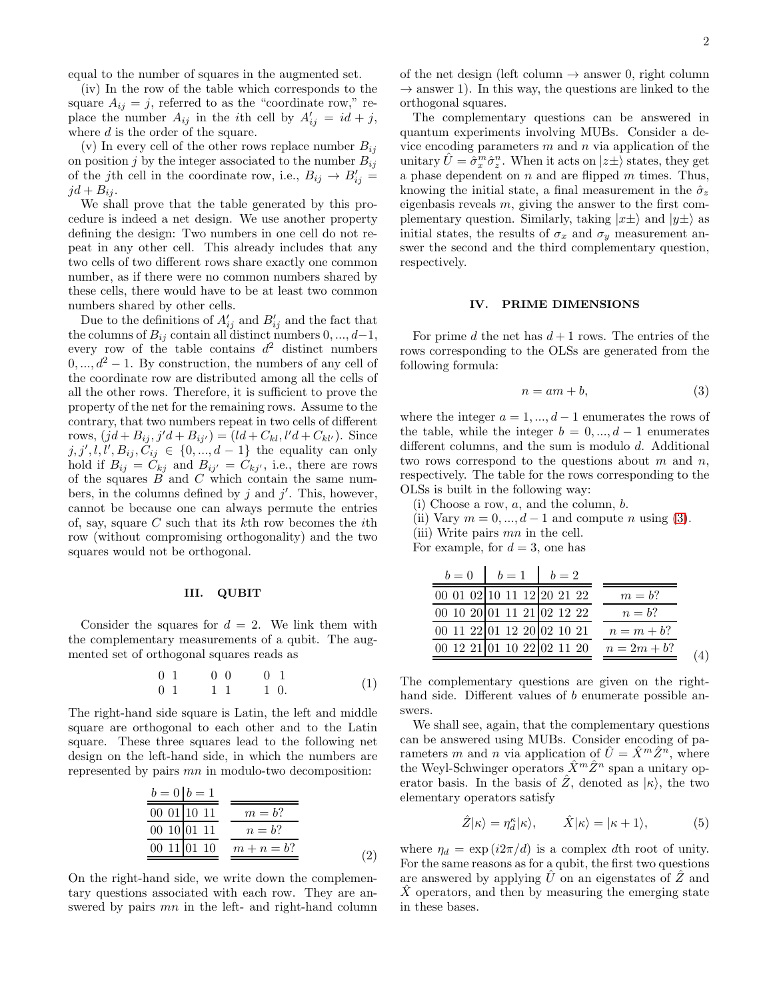equal to the number of squares in the augmented set.

(iv) In the row of the table which corresponds to the square  $A_{ij} = j$ , referred to as the "coordinate row," replace the number  $A_{ij}$  in the *i*th cell by  $A'_{ij} = id + j$ , where  $d$  is the order of the square.

(v) In every cell of the other rows replace number  $B_{ij}$ on position j by the integer associated to the number  $B_{ij}$ of the jth cell in the coordinate row, i.e.,  $B_{ij} \rightarrow B'_{ij} =$  $jd + B_{ij}.$ 

We shall prove that the table generated by this procedure is indeed a net design. We use another property defining the design: Two numbers in one cell do not repeat in any other cell. This already includes that any two cells of two different rows share exactly one common number, as if there were no common numbers shared by these cells, there would have to be at least two common numbers shared by other cells.

Due to the definitions of  $A'_{ij}$  and  $B'_{ij}$  and the fact that the columns of  $B_{ij}$  contain all distinct numbers  $0, ..., d-1$ , every row of the table contains  $d^2$  distinct numbers  $0, \ldots, d^2 - 1$ . By construction, the numbers of any cell of the coordinate row are distributed among all the cells of all the other rows. Therefore, it is sufficient to prove the property of the net for the remaining rows. Assume to the contrary, that two numbers repeat in two cells of different rows,  $(jd + B_{ij}, j'd + B_{ij'}) = (ld + C_{kl}, l'd + C_{kl'})$ . Since  $j, j', l, l', B_{ij}, C_{ij} \in \{0, ..., d-1\}$  the equality can only hold if  $B_{ij} = C_{kj}$  and  $B_{ij'} = C_{kj'}$ , i.e., there are rows of the squares  $\overrightarrow{B}$  and  $\overrightarrow{C}$  which contain the same numbers, in the columns defined by  $j$  and  $j'$ . This, however, cannot be because one can always permute the entries of, say, square  $C$  such that its kth row becomes the *i*th row (without compromising orthogonality) and the two squares would not be orthogonal.

#### III. QUBIT

Consider the squares for  $d = 2$ . We link them with the complementary measurements of a qubit. The augmented set of orthogonal squares reads as

$$
\begin{array}{ccccccccc}\n0 & 1 & & 0 & 0 & & 0 & 1 \\
0 & 1 & & 1 & 1 & & 1 & 0\n\end{array} \tag{1}
$$

The right-hand side square is Latin, the left and middle square are orthogonal to each other and to the Latin square. These three squares lead to the following net design on the left-hand side, in which the numbers are represented by pairs mn in modulo-two decomposition:

<span id="page-1-1"></span>
$$
\frac{b=0|b=1}{00\ 01|10\ 11}
$$
\n
$$
\frac{m=b?}{00\ 10|01\ 11}
$$
\n
$$
\frac{m=b?}{00\ 11|01\ 10}
$$
\n
$$
\frac{m=b?}{m+n=b?}
$$
\n(2)

On the right-hand side, we write down the complementary questions associated with each row. They are answered by pairs mn in the left- and right-hand column of the net design (left column  $\rightarrow$  answer 0, right column  $\rightarrow$  answer 1). In this way, the questions are linked to the orthogonal squares.

The complementary questions can be answered in quantum experiments involving MUBs. Consider a device encoding parameters  $m$  and  $n$  via application of the unitary  $\hat{U} = \hat{\sigma}_x^m \hat{\sigma}_z^n$ . When it acts on  $|z\pm\rangle$  states, they get a phase dependent on  $n$  and are flipped  $m$  times. Thus, knowing the initial state, a final measurement in the  $\hat{\sigma}_z$ eigenbasis reveals  $m$ , giving the answer to the first complementary question. Similarly, taking  $|x\pm\rangle$  and  $|y\pm\rangle$  as initial states, the results of  $\sigma_x$  and  $\sigma_y$  measurement answer the second and the third complementary question, respectively.

### IV. PRIME DIMENSIONS

For prime d the net has  $d+1$  rows. The entries of the rows corresponding to the OLSs are generated from the following formula:

<span id="page-1-0"></span>
$$
n = am + b,\tag{3}
$$

where the integer  $a = 1, ..., d - 1$  enumerates the rows of the table, while the integer  $b = 0, ..., d - 1$  enumerates different columns, and the sum is modulo d. Additional two rows correspond to the questions about  $m$  and  $n$ , respectively. The table for the rows corresponding to the OLSs is built in the following way:

- (i) Choose a row, a, and the column, b.
- (ii) Vary  $m = 0, \ldots, d 1$  and compute n using [\(3\)](#page-1-0).

(iii) Write pairs mn in the cell.

For example, for  $d = 3$ , one has

|                | $b = 1$ $b = 2$            | $b=0$ |
|----------------|----------------------------|-------|
| $m = b$ ?      | 00 01 02 10 11 12 20 21 22 |       |
| $n = b$ ?      | 00 10 20 01 11 21 02 12 22 |       |
| $n = m + b$ ?  | 00 11 22 01 12 20 02 10 21 |       |
| $n = 2m + b$ ? | 00 12 21 01 10 22 02 11 20 |       |
|                |                            |       |

<span id="page-1-2"></span>The complementary questions are given on the righthand side. Different values of b enumerate possible answers.

We shall see, again, that the complementary questions can be answered using MUBs. Consider encoding of parameters m and n via application of  $\hat{U} = \hat{X}^m \hat{Z}^n$ , where the Weyl-Schwinger operators  $\hat{X}^m \hat{Z}^n$  span a unitary operator basis. In the basis of  $Z$ , denoted as  $|\kappa\rangle$ , the two elementary operators satisfy

$$
\hat{Z}|\kappa\rangle = \eta_d^{\kappa}|\kappa\rangle, \qquad \hat{X}|\kappa\rangle = |\kappa + 1\rangle, \tag{5}
$$

where  $\eta_d = \exp(i2\pi/d)$  is a complex dth root of unity. For the same reasons as for a qubit, the first two questions are answered by applying  $U$  on an eigenstates of  $Z$  and X operators, and then by measuring the emerging state in these bases.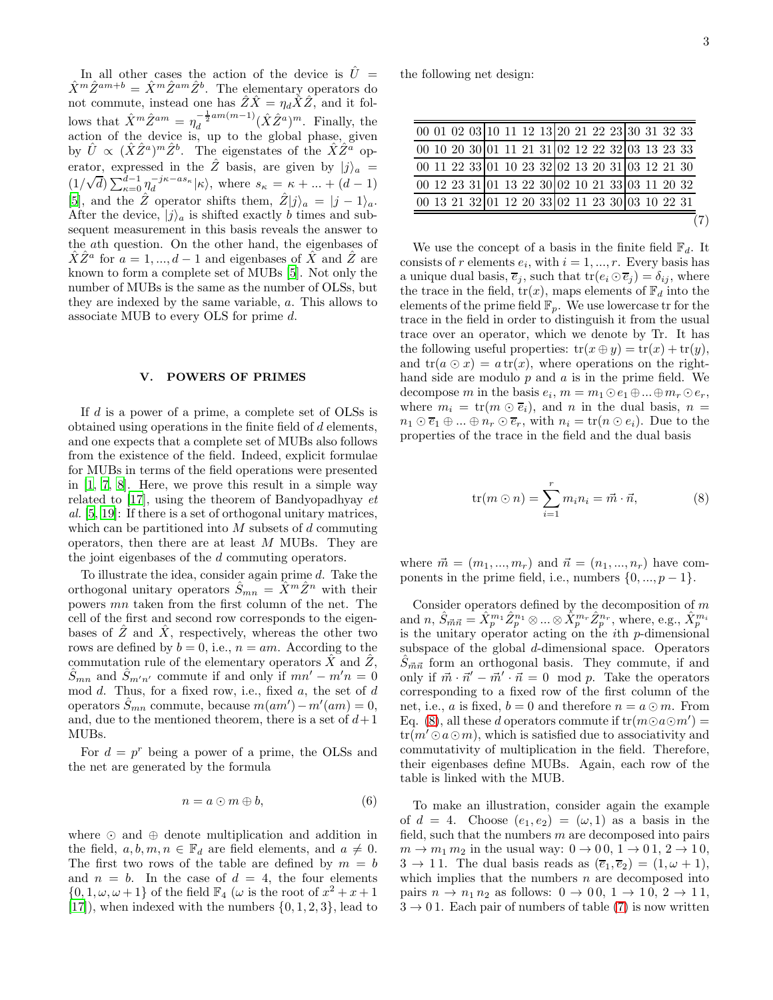In all other cases the action of the device is  $\hat{U}$  =  $\hat{X}^m \hat{Z}^{am+b} = \hat{X}^m \hat{Z}^{am} \hat{Z}^b$ . The elementary operators do not commute, instead one has  $\hat{Z}\hat{X} = \eta_d \check{X}\hat{Z}$ , and it follows that  $\hat{X}^m \hat{Z}^{am} = \eta_d^{-\frac{1}{2}am(m-1)}$  $\frac{-\frac{1}{2}am(m-1)}{d}(\hat{X}\hat{Z}^a)^m$ . Finally, the action of the device is, up to the global phase, given by  $\hat{U} \propto (\hat{X}\hat{Z}^a)^m \hat{Z}^b$ . The eigenstates of the  $\hat{X}\hat{Z}^{\tilde{a}}$  operator, expressed in the  $\hat{Z}$  basis, are given by  $|j\rangle_a$  =  $(1/\sqrt{d})\sum_{\kappa=0}^{\tilde{d}-1}\eta_d^{-j\kappa-as_{\kappa}}|\kappa\rangle$ , where  $s_{\kappa} = \kappa + ... + (d-1)$ [\[5\]](#page-5-4), and the  $\hat{Z}$  operator shifts them,  $\hat{Z}|j\rangle_a = |j-1\rangle_a$ . After the device,  $|j\rangle_a$  is shifted exactly b times and subsequent measurement in this basis reveals the answer to the ath question. On the other hand, the eigenbases of  $\hat{X}\hat{Z}^a$  for  $a = 1, ..., d-1$  and eigenbases of  $\hat{X}$  and  $\hat{Z}$  are known to form a complete set of MUBs [\[5\]](#page-5-4). Not only the number of MUBs is the same as the number of OLSs, but they are indexed by the same variable, a. This allows to associate MUB to every OLS for prime d.

#### POWERS OF PRIMES

If d is a power of a prime, a complete set of OLSs is obtained using operations in the finite field of  $d$  elements, and one expects that a complete set of MUBs also follows from the existence of the field. Indeed, explicit formulae for MUBs in terms of the field operations were presented in [\[1](#page-5-0), [7](#page-5-6), [8](#page-5-7)]. Here, we prove this result in a simple way related to [\[17](#page-5-16)], using the theorem of Bandyopadhyay  $et$ al. [\[5,](#page-5-4) [19\]](#page-5-17): If there is a set of orthogonal unitary matrices, which can be partitioned into  $M$  subsets of  $d$  commuting operators, then there are at least M MUBs. They are the joint eigenbases of the d commuting operators.

To illustrate the idea, consider again prime d. Take the orthogonal unitary operators  $\hat{S}_{mn} = \hat{X}^m \hat{Z}^n$  with their powers mn taken from the first column of the net. The cell of the first and second row corresponds to the eigenbases of  $\overline{Z}$  and  $\overline{X}$ , respectively, whereas the other two rows are defined by  $b = 0$ , i.e.,  $n = am$ . According to the commutation rule of the elementary operators  $\hat{X}$  and  $\hat{Z}$ ,  $\hat{S}_{mn}$  and  $\hat{S}_{m'n'}$  commute if and only if  $mn'-m'n=0$ mod  $d$ . Thus, for a fixed row, i.e., fixed  $a$ , the set of  $d$ operators  $\hat{S}_{mn}$  commute, because  $m(am') - m'(am) = 0$ , and, due to the mentioned theorem, there is a set of  $d+1$ MUBs.

For  $d = p^r$  being a power of a prime, the OLSs and the net are generated by the formula

$$
n = a \odot m \oplus b,\tag{6}
$$

where ⊙ and ⊕ denote multiplication and addition in the field,  $a, b, m, n \in \mathbb{F}_d$  are field elements, and  $a \neq 0$ . The first two rows of the table are defined by  $m = b$ and  $n = b$ . In the case of  $d = 4$ , the four elements  $\{0, 1, \omega, \omega + 1\}$  of the field  $\mathbb{F}_4$  ( $\omega$  is the root of  $x^2 + x + 1$  $[17]$ , when indexed with the numbers  $\{0, 1, 2, 3\}$ , lead to

the following net design:

<span id="page-2-1"></span>

| 00 01 02 03 10 11 12 13 20 21 22 23 30 31 32 33 |  |
|-------------------------------------------------|--|
| 00 10 20 30 01 11 21 31 02 12 22 32 03 13 23 33 |  |
| 00 11 22 33 01 10 23 32 02 13 20 31 03 12 21 30 |  |
| 00 12 23 31 01 13 22 30 02 10 21 33 03 11 20 32 |  |
| 00 13 21 32 01 12 20 33 02 11 23 30 03 10 22 31 |  |
|                                                 |  |
|                                                 |  |

We use the concept of a basis in the finite field  $\mathbb{F}_d$  . It consists of r elements  $e_i$ , with  $i = 1, ..., r$ . Every basis has a unique dual basis,  $\overline{e}_j$ , such that  $tr(e_i \odot \overline{e}_j) = \delta_{ij}$ , where the trace in the field,  $tr(x)$ , maps elements of  $\mathbb{F}_d$  into the elements of the prime field  $\mathbb{F}_p$ . We use lowercase tr for the trace in the field in order to distinguish it from the usual trace over an operator, which we denote by Tr. It has the following useful properties:  $tr(x \oplus y) = tr(x) + tr(y)$ , and  $tr(a \odot x) = a tr(x)$ , where operations on the righthand side are modulo  $p$  and  $a$  is in the prime field. We decompose m in the basis  $e_i$ ,  $m = m_1 \odot e_1 \oplus \ldots \oplus m_r \odot e_r$ , where  $m_i = \text{tr}(m \odot \overline{e}_i)$ , and n in the dual basis,  $n =$  $n_1 \odot \overline{e}_1 \oplus ... \oplus n_r \odot \overline{e}_r$ , with  $n_i = \text{tr}(n \odot e_i)$ . Due to the properties of the trace in the field and the dual basis

<span id="page-2-0"></span>
$$
\text{tr}(m \odot n) = \sum_{i=1}^{r} m_i n_i = \vec{m} \cdot \vec{n}, \tag{8}
$$

where  $\vec{m} = (m_1, ..., m_r)$  and  $\vec{n} = (n_1, ..., n_r)$  have components in the prime field, i.e., numbers  $\{0, ..., p-1\}$ .

Consider operators defined by the decomposition of  $m$ and  $n, \hat{S}_{\vec{m}\vec{n}} = \hat{X}_p^{m_1} \hat{Z}_p^{n_1} \otimes ... \otimes \hat{X}_p^{m_r} \hat{Z}_p^{n_r}$ , where, e.g.,  $\hat{X}_p^{m_i}$ is the unitary operator acting on the ith p-dimensional subspace of the global d-dimensional space. Operators  $\hat{S}_{\vec{m}\vec{n}}$  form an orthogonal basis. They commute, if and only if  $\vec{m} \cdot \vec{n}' - \vec{m}' \cdot \vec{n} = 0 \mod p$ . Take the operators corresponding to a fixed row of the first column of the net, i.e., a is fixed,  $b = 0$  and therefore  $n = a \odot m$ . From Eq. [\(8\)](#page-2-0), all these d operators commute if  $tr(m \odot a \odot m') =$  $tr(m' \odot a \odot m)$ , which is satisfied due to associativity and commutativity of multiplication in the field. Therefore, their eigenbases define MUBs. Again, each row of the table is linked with the MUB.

To make an illustration, consider again the example of  $d = 4$ . Choose  $(e_1, e_2) = (\omega, 1)$  as a basis in the field, such that the numbers  $m$  are decomposed into pairs  $m \rightarrow m_1 m_2$  in the usual way:  $0 \rightarrow 0.0$ ,  $1 \rightarrow 0.1$ ,  $2 \rightarrow 1.0$ ,  $3 \rightarrow 11$ . The dual basis reads as  $(\overline{e}_1, \overline{e}_2) = (1, \omega + 1)$ , which implies that the numbers  $n$  are decomposed into pairs  $n \to n_1 \, n_2$  as follows:  $0 \to 0 \, 0, 1 \to 1 \, 0, 2 \to 1 \, 1,$  $3 \rightarrow 01$ . Each pair of numbers of table [\(7\)](#page-2-1) is now written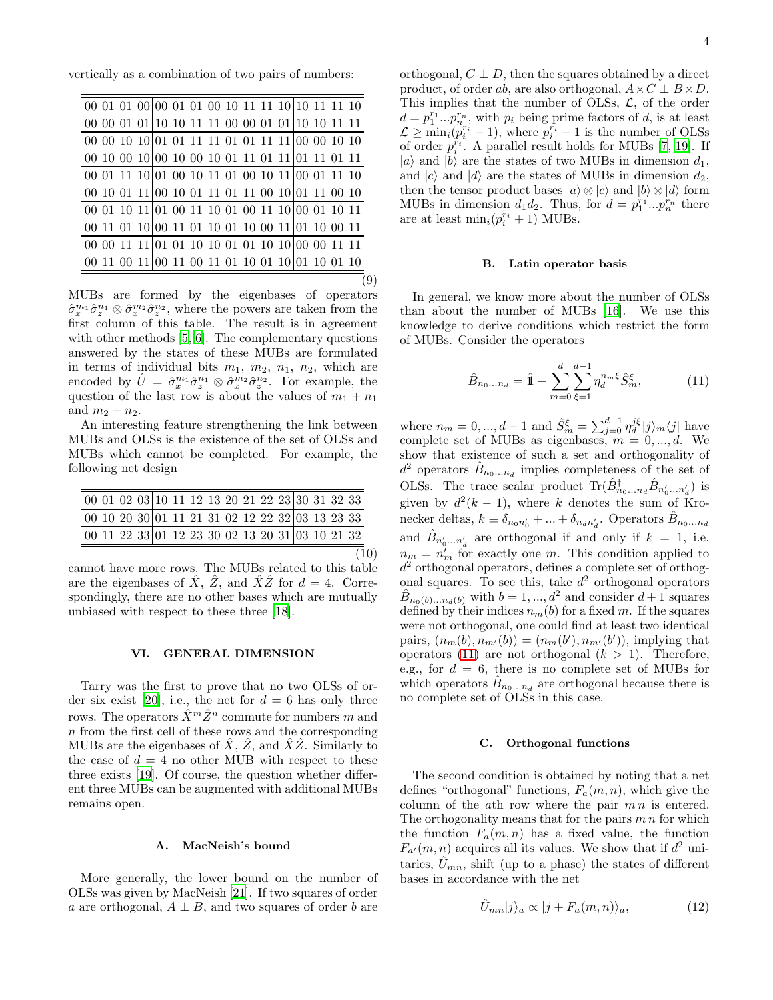vertically as a combination of two pairs of numbers:

| 00 10 00 10 00 10 00 10 01 11 01 11 01 11 01 11 |  |  |  |  |  |  |  |
|-------------------------------------------------|--|--|--|--|--|--|--|
|                                                 |  |  |  |  |  |  |  |
| 00 10 01 11 00 10 01 11 01 11 00 10 01 11 00 10 |  |  |  |  |  |  |  |
|                                                 |  |  |  |  |  |  |  |
| 00 11 01 10 00 11 01 10 01 10 00 11 01 10 00 11 |  |  |  |  |  |  |  |
|                                                 |  |  |  |  |  |  |  |
| 00 11 00 11 00 11 00 11 01 10 01 10 01 10 01 10 |  |  |  |  |  |  |  |
|                                                 |  |  |  |  |  |  |  |

MUBs are formed by the eigenbases of operators  $\hat{\sigma}_x^{m_1} \hat{\sigma}_z^{n_1} \otimes \hat{\sigma}_x^{m_2} \hat{\sigma}_z^{n_2}$ , where the powers are taken from the first column of this table. The result is in agreement with other methods [\[5](#page-5-4), [6\]](#page-5-5). The complementary questions answered by the states of these MUBs are formulated in terms of individual bits  $m_1$ ,  $m_2$ ,  $n_1$ ,  $n_2$ , which are encoded by  $\hat{U} = \hat{\sigma}_x^{m_1} \hat{\sigma}_z^{n_1} \otimes \hat{\sigma}_x^{m_2} \hat{\sigma}_z^{n_2}$ . For example, the question of the last row is about the values of  $m_1 + n_1$ and  $m_2 + n_2$ .

An interesting feature strengthening the link between MUBs and OLSs is the existence of the set of OLSs and MUBs which cannot be completed. For example, the following net design

|  | 00 01 02 03 10 11 12 13 20 21 22 23 30 31 32 33 |  |  |  |  |  |  |
|--|-------------------------------------------------|--|--|--|--|--|--|
|  | 00 10 20 30 01 11 21 31 02 12 22 32 03 13 23 33 |  |  |  |  |  |  |
|  | 00 11 22 33 01 12 23 30 02 13 20 31 03 10 21 32 |  |  |  |  |  |  |
|  |                                                 |  |  |  |  |  |  |

cannot have more rows. The MUBs related to this table are the eigenbases of  $\hat{X}$ ,  $\hat{Z}$ , and  $\hat{X}\hat{Z}$  for  $d = 4$ . Correspondingly, there are no other bases which are mutually unbiased with respect to these three [\[18\]](#page-5-18).

### VI. GENERAL DIMENSION

Tarry was the first to prove that no two OLSs of or-der six exist [\[20\]](#page-5-19), i.e., the net for  $d = 6$  has only three rows. The operators  $\hat{X}^m \hat{Z}^n$  commute for numbers m and n from the first cell of these rows and the corresponding MUBs are the eigenbases of  $\hat{X}$ ,  $\hat{Z}$ , and  $\hat{X}\hat{Z}$ . Similarly to the case of  $d = 4$  no other MUB with respect to these three exists [\[19\]](#page-5-17). Of course, the question whether different three MUBs can be augmented with additional MUBs remains open.

#### A. MacNeish's bound

More generally, the lower bound on the number of OLSs was given by MacNeish [\[21\]](#page-5-20). If two squares of order a are orthogonal,  $A \perp B$ , and two squares of order b are

orthogonal,  $C \perp D$ , then the squares obtained by a direct product, of order ab, are also orthogonal,  $A \times C \perp B \times D$ . This implies that the number of OLSs,  $\mathcal{L}$ , of the order  $d = p_1^{r_1} \dots p_n^{r_n}$ , with  $p_i$  being prime factors of d, is at least  $\mathcal{L} \geq \min_i (p_i^{r_i} - 1)$ , where  $p_i^{r_i} - 1$  is the number of OLSs of order  $p_i^{r_i}$ . A parallel result holds for MUBs [\[7](#page-5-6), [19](#page-5-17)]. If  $|a\rangle$  and  $|b\rangle$  are the states of two MUBs in dimension  $d_1$ , and  $|c\rangle$  and  $|d\rangle$  are the states of MUBs in dimension  $d_2$ , then the tensor product bases  $|a\rangle \otimes |c\rangle$  and  $|b\rangle \otimes |d\rangle$  form MUBs in dimension  $d_1 d_2$ . Thus, for  $d = p_1^{r_1} ... p_n^{r_n}$  there are at least  $\min_i(p_i^{r_i} + 1)$  MUBs.

# B. Latin operator basis

In general, we know more about the number of OLSs than about the number of MUBs [\[16\]](#page-5-15). We use this knowledge to derive conditions which restrict the form of MUBs. Consider the operators

<span id="page-3-0"></span>
$$
\hat{B}_{n_0...n_d} = \hat{\mathbb{1}} + \sum_{m=0}^d \sum_{\xi=1}^{d-1} \eta_d^{n_m \xi} \hat{S}_m^{\xi}, \tag{11}
$$

where  $n_m = 0, ..., d-1$  and  $\hat{S}_m^{\xi} = \sum_{j=0}^{d-1} \eta_d^{j\xi} |j\rangle_m \langle j|$  have complete set of MUBs as eigenbases,  $m = 0, \dots, d$ . We show that existence of such a set and orthogonality of  $d^2$  operators  $\hat{B}_{n_0...n_d}$  implies completeness of the set of OLSs. The trace scalar product  $\text{Tr}(\hat{B}_{n_0...n_d}^{\dagger} \hat{B}_{n'_0...n'_d})$  is given by  $d^2(k-1)$ , where k denotes the sum of Kronecker deltas,  $k \equiv \delta_{n_0 n'_0} + ... + \delta_{n_d n'_d}$ . Operators  $\hat{B}_{n_0...n_d}$ and  $\hat{B}_{n'_0...n'_d}$  are orthogonal if and only if  $k = 1$ , i.e.  $n_m = n'_m$  for exactly one m. This condition applied to  $d^2$  orthogonal operators, defines a complete set of orthogonal squares. To see this, take  $d^2$  orthogonal operators  $\hat{B}_{n_0(b)\dots n_d(b)}$  with  $b=1,\dots,d^2$  and consider  $d+1$  squares defined by their indices  $n_m(b)$  for a fixed m. If the squares were not orthogonal, one could find at least two identical pairs,  $(n_m(b), n_{m'}(b)) = (n_m(b'), n_{m'}(b'))$ , implying that operators [\(11\)](#page-3-0) are not orthogonal  $(k > 1)$ . Therefore, e.g., for  $d = 6$ , there is no complete set of MUBs for which operators  $\hat{B}_{n_0...n_d}$  are orthogonal because there is no complete set of OLSs in this case.

## C. Orthogonal functions

The second condition is obtained by noting that a net defines "orthogonal" functions,  $F_a(m, n)$ , which give the column of the  $a$ th row where the pair  $m n$  is entered. The orthogonality means that for the pairs  $m n$  for which the function  $F_a(m, n)$  has a fixed value, the function  $F_{a'}(m, n)$  acquires all its values. We show that if  $d^2$  unitaries,  $\hat{U}_{mn}$ , shift (up to a phase) the states of different bases in accordance with the net

<span id="page-3-1"></span>
$$
\hat{U}_{mn}|j\rangle_a \propto |j + F_a(m,n)\rangle_a,\tag{12}
$$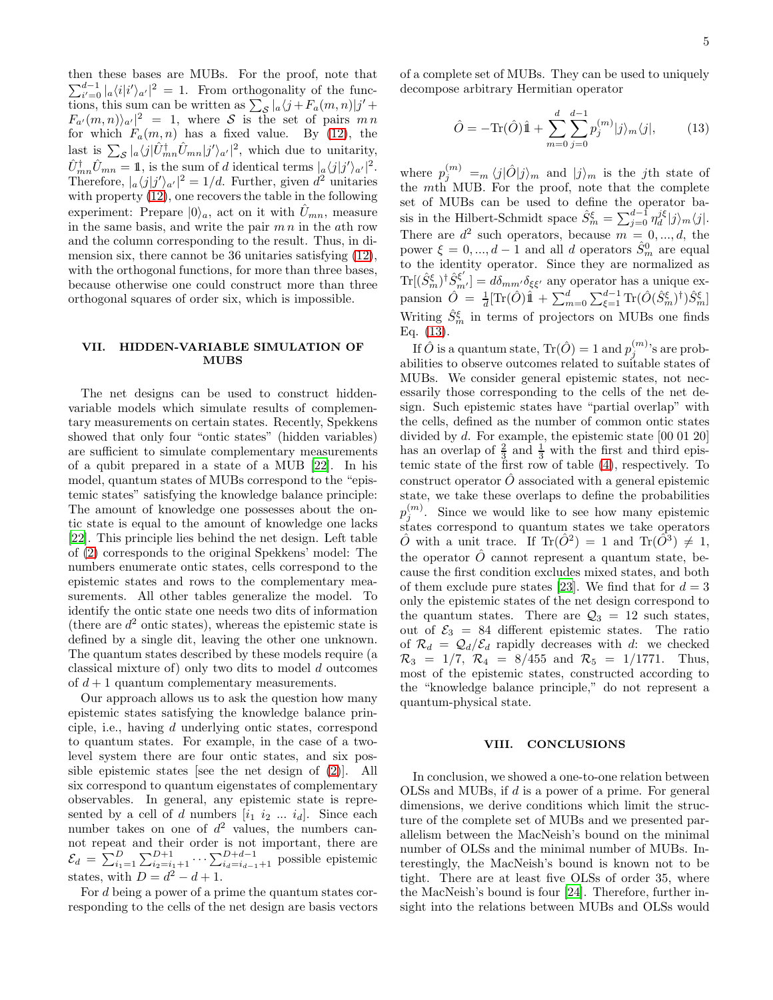5

then these bases are MUBs. For the proof, note that  $\sum_{i'=0}^{d-1} |a\langle i|i'\rangle_{a'}|^2 = 1$ . From orthogonality of the functions, this sum can be written as  $\sum_{\mathcal{S}} |a \langle j + F_a(m, n) | j' + \rangle$  $F_{a'}(m,n)|_{a'}|^2 = 1$ , where S is the set of pairs  $m n$ for which  $F_a(m, n)$  has a fixed value. By [\(12\)](#page-3-1), the last is  $\sum_{\mathcal{S}} |a \langle j| \hat{U}_{mn}^{\dagger} \hat{U}_{mn} |j' \rangle_{a'}|^2$ , which due to unitarity,  $\hat{U}_{mn}^{\dagger}\hat{U}_{mn} = 1$ , is the sum of d identical terms  $|_{a}\langle j|j'\rangle_{a'}|^2$ . Therefore,  $|a \langle j | j' \rangle_{a'}|^2 = 1/d$ . Further, given  $d^2$  unitaries with property [\(12\)](#page-3-1), one recovers the table in the following experiment: Prepare  $|0\rangle_a$ , act on it with  $\hat{U}_{mn}$ , measure in the same basis, and write the pair  $m n$  in the ath row and the column corresponding to the result. Thus, in dimension six, there cannot be 36 unitaries satisfying [\(12\)](#page-3-1), with the orthogonal functions, for more than three bases, because otherwise one could construct more than three orthogonal squares of order six, which is impossible.

### VII. HIDDEN-VARIABLE SIMULATION OF MUBS

The net designs can be used to construct hiddenvariable models which simulate results of complementary measurements on certain states. Recently, Spekkens showed that only four "ontic states" (hidden variables) are sufficient to simulate complementary measurements of a qubit prepared in a state of a MUB [\[22\]](#page-5-21). In his model, quantum states of MUBs correspond to the "epistemic states" satisfying the knowledge balance principle: The amount of knowledge one possesses about the ontic state is equal to the amount of knowledge one lacks [\[22\]](#page-5-21). This principle lies behind the net design. Left table of [\(2\)](#page-1-1) corresponds to the original Spekkens' model: The numbers enumerate ontic states, cells correspond to the epistemic states and rows to the complementary measurements. All other tables generalize the model. To identify the ontic state one needs two dits of information (there are  $d^2$  ontic states), whereas the epistemic state is defined by a single dit, leaving the other one unknown. The quantum states described by these models require (a classical mixture of) only two dits to model d outcomes of  $d+1$  quantum complementary measurements.

Our approach allows us to ask the question how many epistemic states satisfying the knowledge balance principle, i.e., having d underlying ontic states, correspond to quantum states. For example, in the case of a twolevel system there are four ontic states, and six possible epistemic states [see the net design of [\(2\)](#page-1-1)]. All six correspond to quantum eigenstates of complementary observables. In general, any epistemic state is represented by a cell of d numbers  $[i_1 \ i_2 \ ... \ i_d]$ . Since each number takes on one of  $d^2$  values, the numbers cannot repeat and their order is not important, there are  $\mathcal{E}_d = \sum_{i_1=1}^D \sum_{i_2=i_1+1}^{D+1} \cdots \sum_{i_d=i_{d-1}+1}^{D+d-1}$  possible epistemic states, with  $D = d^2 - d + 1$ .

For d being a power of a prime the quantum states corresponding to the cells of the net design are basis vectors of a complete set of MUBs. They can be used to uniquely decompose arbitrary Hermitian operator

<span id="page-4-0"></span>
$$
\hat{O} = -\text{Tr}(\hat{O})\hat{1} + \sum_{m=0}^{d} \sum_{j=0}^{d-1} p_j^{(m)} |j\rangle_m \langle j|,
$$
 (13)

where  $p_j^{(m)} = m \langle j|\hat{O}|j\rangle_m$  and  $|j\rangle_m$  is the jth state of the mth MUB. For the proof, note that the complete set of MUBs can be used to define the operator basis in the Hilbert-Schmidt space  $\hat{S}_m^{\xi} = \sum_{j=0}^{d-1} \eta_d^{j\xi} |j\rangle_m \langle j|.$ There are  $d^2$  such operators, because  $m = 0, ..., d$ , the power  $\xi = 0, ..., d - 1$  and all d operators  $\hat{S}_m^0$  are equal to the identity operator. Since they are normalized as  $\text{Tr}[(\hat{S}_m^{\xi})^{\dagger} \hat{S}_{m'}^{\xi'}] = d\delta_{mm'}\delta_{\xi\xi'}$  any operator has a unique expansion  $\hat{O} = \frac{1}{d} [\text{Tr}(\hat{O})\hat{1} + \sum_{m=0}^{d} \sum_{\xi=1}^{d-1} \text{Tr}(\hat{O}(\hat{S}_{m}^{\xi})^{\dagger})\hat{S}_{m}^{\xi}]$ Writing  $\hat{S}_m^{\xi}$  in terms of projectors on MUBs one finds Eq. [\(13\)](#page-4-0).

If  $\hat{O}$  is a quantum state,  $\text{Tr}(\hat{O})=1$  and  $p_j^{(m)}$ 's are probabilities to observe outcomes related to suitable states of MUBs. We consider general epistemic states, not necessarily those corresponding to the cells of the net design. Such epistemic states have "partial overlap" with the cells, defined as the number of common ontic states divided by d. For example, the epistemic state [00 01 20] has an overlap of  $\frac{2}{3}$  and  $\frac{1}{3}$  with the first and third epistemic state of the first row of table [\(4\)](#page-1-2), respectively. To construct operator  $\hat{O}$  associated with a general epistemic state, we take these overlaps to define the probabilities  $p_j^{(m)}$ . Since we would like to see how many epistemic states correspond to quantum states we take operators  $\hat{O}$  with a unit trace. If Tr( $\hat{O}^2$ ) = 1 and Tr( $\hat{O}^3$ )  $\neq$  1, the operator  $\hat{O}$  cannot represent a quantum state, because the first condition excludes mixed states, and both of them exclude pure states [\[23\]](#page-5-22). We find that for  $d = 3$ only the epistemic states of the net design correspond to the quantum states. There are  $\mathcal{Q}_3 = 12$  such states, out of  $\mathcal{E}_3 = 84$  different epistemic states. The ratio of  $\mathcal{R}_d = \mathcal{Q}_d/\mathcal{E}_d$  rapidly decreases with d: we checked  $\mathcal{R}_3 = 1/7$ ,  $\mathcal{R}_4 = 8/455$  and  $\mathcal{R}_5 = 1/1771$ . Thus, most of the epistemic states, constructed according to the "knowledge balance principle," do not represent a quantum-physical state.

#### VIII. CONCLUSIONS

In conclusion, we showed a one-to-one relation between OLSs and MUBs, if d is a power of a prime. For general dimensions, we derive conditions which limit the structure of the complete set of MUBs and we presented parallelism between the MacNeish's bound on the minimal number of OLSs and the minimal number of MUBs. Interestingly, the MacNeish's bound is known not to be tight. There are at least five OLSs of order 35, where the MacNeish's bound is four [\[24\]](#page-5-23). Therefore, further insight into the relations between MUBs and OLSs would